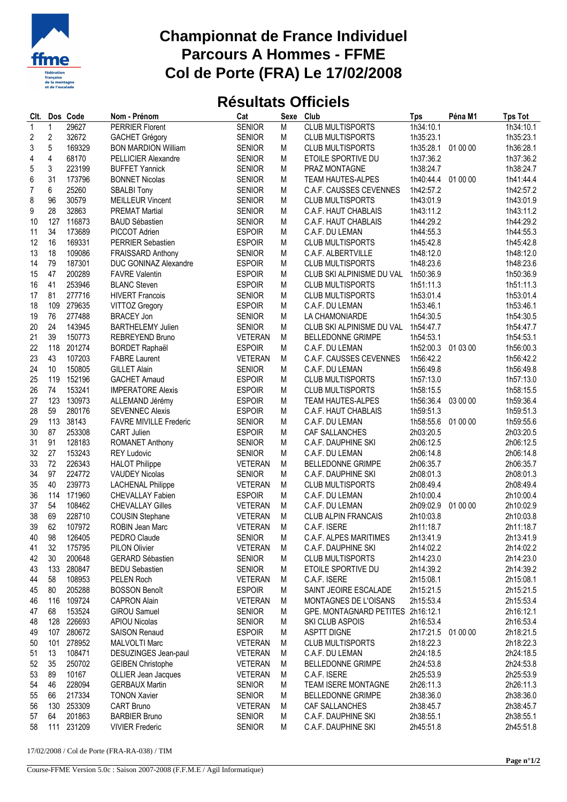

## **Championnat de France Individuel Parcours A Hommes - FFME Col de Porte (FRA) Le 17/02/2008**

## **Résultats Officiels**

| CIt.           |                | Dos Code | Nom - Prénom                  | Cat            | Sexe | Club                              | <b>Tps</b>         | Péna M1  | <b>Tps Tot</b> |
|----------------|----------------|----------|-------------------------------|----------------|------|-----------------------------------|--------------------|----------|----------------|
| $\mathbf{1}$   | 1              | 29627    | <b>PERRIER Florent</b>        | <b>SENIOR</b>  | M    | CLUB MULTISPORTS                  | 1h34:10.1          |          | 1h34:10.1      |
| $\overline{c}$ | $\overline{c}$ | 32672    | <b>GACHET Grégory</b>         | <b>SENIOR</b>  | M    | <b>CLUB MULTISPORTS</b>           | 1h35:23.1          |          | 1h35:23.1      |
| 3              | 5              | 169329   | <b>BON MARDION William</b>    | <b>SENIOR</b>  | M    | <b>CLUB MULTISPORTS</b>           | 1h35:28.1          | 01 00 00 | 1h36:28.1      |
| 4              | 4              | 68170    | <b>PELLICIER Alexandre</b>    | <b>SENIOR</b>  | M    | ETOILE SPORTIVE DU                | 1h37:36.2          |          | 1h37:36.2      |
| 5              | 3              | 223199   | <b>BUFFET Yannick</b>         | <b>SENIOR</b>  | M    | PRAZ MONTAGNE                     | 1h38:24.7          |          | 1h38:24.7      |
| 6              | 31             | 173796   | <b>BONNET Nicolas</b>         | <b>SENIOR</b>  | M    | <b>TEAM HAUTES-ALPES</b>          | 1h40:44.4          | 01 00 00 | 1h41:44.4      |
| $\overline{7}$ | 6              | 25260    | <b>SBALBI Tony</b>            | <b>SENIOR</b>  | M    | C.A.F. CAUSSES CEVENNES           | 1h42:57.2          |          | 1h42:57.2      |
| 8              | 96             | 30579    | <b>MEILLEUR Vincent</b>       | <b>SENIOR</b>  | M    | <b>CLUB MULTISPORTS</b>           | 1h43:01.9          |          | 1h43:01.9      |
| 9              | 28             | 32863    | <b>PREMAT Martial</b>         | <b>SENIOR</b>  | M    | C.A.F. HAUT CHABLAIS              | 1h43:11.2          |          | 1h43:11.2      |
| 10             | 127            | 116873   | <b>BAUD Sébastien</b>         | <b>SENIOR</b>  | M    | C.A.F. HAUT CHABLAIS              | 1h44:29.2          |          | 1h44:29.2      |
|                | 34             |          |                               |                |      |                                   |                    |          |                |
| 11             |                | 173689   | PICCOT Adrien                 | <b>ESPOIR</b>  | M    | C.A.F. DU LEMAN                   | 1h44:55.3          |          | 1h44:55.3      |
| 12             | 16             | 169331   | PERRIER Sebastien             | <b>ESPOIR</b>  | M    | <b>CLUB MULTISPORTS</b>           | 1h45:42.8          |          | 1h45:42.8      |
| 13             | 18             | 109086   | <b>FRAISSARD Anthony</b>      | <b>SENIOR</b>  | M    | C.A.F. ALBERTVILLE                | 1h48:12.0          |          | 1h48:12.0      |
| 14             | 79             | 187301   | DUC GONINAZ Alexandre         | <b>ESPOIR</b>  | M    | <b>CLUB MULTISPORTS</b>           | 1h48:23.6          |          | 1h48:23.6      |
| 15             | 47             | 200289   | <b>FAVRE Valentin</b>         | <b>ESPOIR</b>  | M    | CLUB SKI ALPINISME DU VAL         | 1h50:36.9          |          | 1h50:36.9      |
| 16             | 41             | 253946   | <b>BLANC Steven</b>           | <b>ESPOIR</b>  | M    | <b>CLUB MULTISPORTS</b>           | 1h51:11.3          |          | 1h51:11.3      |
| 17             | 81             | 277716   | <b>HIVERT Francois</b>        | <b>SENIOR</b>  | M    | <b>CLUB MULTISPORTS</b>           | 1h53:01.4          |          | 1h53:01.4      |
| 18             | 109            | 279635   | <b>VITTOZ Gregory</b>         | <b>ESPOIR</b>  | M    | C.A.F. DU LEMAN                   | 1h53:46.1          |          | 1h53:46.1      |
| 19             | 76             | 277488   | <b>BRACEY Jon</b>             | <b>SENIOR</b>  | M    | LA CHAMONIARDE                    | 1h54:30.5          |          | 1h54:30.5      |
| 20             | 24             | 143945   | <b>BARTHELEMY Julien</b>      | <b>SENIOR</b>  | M    | CLUB SKI ALPINISME DU VAL         | 1h54:47.7          |          | 1h54:47.7      |
| 21             | 39             | 150773   | <b>REBREYEND Bruno</b>        | <b>VETERAN</b> | M    | <b>BELLEDONNE GRIMPE</b>          | 1h54:53.1          |          | 1h54:53.1      |
| 22             | 118            | 201274   | <b>BORDET Raphaël</b>         | <b>ESPOIR</b>  | M    | C.A.F. DU LEMAN                   | 1h52:00.3 01 03 00 |          | 1h56:00.3      |
| 23             | 43             | 107203   | <b>FABRE Laurent</b>          | <b>VETERAN</b> | M    | C.A.F. CAUSSES CEVENNES           | 1h56:42.2          |          | 1h56:42.2      |
| 24             | 10             | 150805   | <b>GILLET Alain</b>           | <b>SENIOR</b>  | M    | C.A.F. DU LEMAN                   | 1h56:49.8          |          | 1h56:49.8      |
| 25             | 119            | 152196   | <b>GACHET Arnaud</b>          | <b>ESPOIR</b>  | M    | <b>CLUB MULTISPORTS</b>           | 1h57:13.0          |          | 1h57:13.0      |
| 26             | 74             | 153241   | <b>IMPERATORE Alexis</b>      | <b>ESPOIR</b>  | M    | <b>CLUB MULTISPORTS</b>           | 1h58:15.5          |          | 1h58:15.5      |
| 27             | 123            | 130973   | ALLEMAND Jérémy               | <b>ESPOIR</b>  | M    | <b>TEAM HAUTES-ALPES</b>          | 1h56:36.4          | 03 00 00 | 1h59:36.4      |
| 28             | 59             | 280176   | <b>SEVENNEC Alexis</b>        | <b>ESPOIR</b>  | M    | C.A.F. HAUT CHABLAIS              | 1h59:51.3          |          | 1h59:51.3      |
| 29             | 113            | 38143    | <b>FAVRE MIVILLE Frederic</b> | <b>SENIOR</b>  | M    | C.A.F. DU LEMAN                   | 1h58:55.6          | 01 00 00 | 1h59:55.6      |
| 30             | 87             | 253308   | CART Julien                   | <b>ESPOIR</b>  | M    | CAF SALLANCHES                    | 2h03:20.5          |          | 2h03:20.5      |
| 31             | 91             | 128183   |                               | <b>SENIOR</b>  | M    | C.A.F. DAUPHINE SKI               | 2h06:12.5          |          | 2h06:12.5      |
|                | 27             |          | ROMANET Anthony               |                | M    |                                   |                    |          |                |
| 32             |                | 153243   | <b>REY Ludovic</b>            | <b>SENIOR</b>  |      | C.A.F. DU LEMAN                   | 2h06:14.8          |          | 2h06:14.8      |
| 33             | 72             | 226343   | <b>HALOT Philippe</b>         | <b>VETERAN</b> | M    | <b>BELLEDONNE GRIMPE</b>          | 2h06:35.7          |          | 2h06:35.7      |
| 34             | 97             | 224772   | <b>VAUDEY Nicolas</b>         | <b>SENIOR</b>  | М    | C.A.F. DAUPHINE SKI               | 2h08:01.3          |          | 2h08:01.3      |
| 35             | 40             | 239773   | <b>LACHENAL Philippe</b>      | <b>VETERAN</b> | M    | <b>CLUB MULTISPORTS</b>           | 2h08:49.4          |          | 2h08:49.4      |
| 36             | 114            | 171960   | <b>CHEVALLAY Fabien</b>       | <b>ESPOIR</b>  | M    | C.A.F. DU LEMAN                   | 2h10:00.4          |          | 2h10:00.4      |
| 37             | 54             | 108462   | <b>CHEVALLAY Gilles</b>       | <b>VETERAN</b> | M    | C.A.F. DU LEMAN                   | 2h09:02.9          | 01 00 00 | 2h10:02.9      |
| 38             | 69             | 228710   | <b>COUSIN Stephane</b>        | <b>VETERAN</b> | M    | <b>CLUB ALPIN FRANCAIS</b>        | 2h10:03.8          |          | 2h10:03.8      |
| 39             | 62             | 107972   | ROBIN Jean Marc               | <b>VETERAN</b> | M    | C.A.F. ISERE                      | 2h11:18.7          |          | 2h11:18.7      |
| 40             | 98             | 126405   | PEDRO Claude                  | <b>SENIOR</b>  | M    | C.A.F. ALPES MARITIMES            | 2h13:41.9          |          | 2h13:41.9      |
| 41             | 32             | 175795   | <b>PILON Olivier</b>          | <b>VETERAN</b> | M    | C.A.F. DAUPHINE SKI               | 2h14:02.2          |          | 2h14:02.2      |
| 42             | 30             | 200648   | GERARD Sébastien              | <b>SENIOR</b>  | M    | <b>CLUB MULTISPORTS</b>           | 2h14:23.0          |          | 2h14:23.0      |
| 43             | 133            | 280847   | <b>BEDU Sebastien</b>         | <b>SENIOR</b>  | M    | ETOILE SPORTIVE DU                | 2h14:39.2          |          | 2h14:39.2      |
| 44             | 58             | 108953   | PELEN Roch                    | <b>VETERAN</b> | M    | C.A.F. ISERE                      | 2h15:08.1          |          | 2h15:08.1      |
| 45             | 80             | 205288   | <b>BOSSON Benoît</b>          | <b>ESPOIR</b>  | M    | SAINT JEOIRE ESCALADE             | 2h15:21.5          |          | 2h15:21.5      |
| 46             | 116            | 109724   | <b>CAPRON Alain</b>           | <b>VETERAN</b> | M    | MONTAGNES DE L'OISANS             | 2h15:53.4          |          | 2h15:53.4      |
| 47             | 68             | 153524   | <b>GIROU Samuel</b>           | <b>SENIOR</b>  | M    | GPE. MONTAGNARD PETITES 2h16:12.1 |                    |          | 2h16:12.1      |
| 48             | 128            | 226693   | <b>APIOU Nicolas</b>          | <b>SENIOR</b>  | M    | SKI CLUB ASPOIS                   | 2h16:53.4          |          | 2h16:53.4      |
| 49             | 107            | 280672   | <b>SAISON Renaud</b>          | <b>ESPOIR</b>  | M    | <b>ASPTT DIGNE</b>                | 2h17:21.5          | 01 00 00 | 2h18:21.5      |
| 50             | 101            | 278952   | MALVOLTI Marc                 | <b>VETERAN</b> | M    | <b>CLUB MULTISPORTS</b>           | 2h18:22.3          |          | 2h18:22.3      |
| 51             | 13             | 108471   | DESUZINGES Jean-paul          | <b>VETERAN</b> | M    | C.A.F. DU LEMAN                   | 2h24:18.5          |          | 2h24:18.5      |
| 52             | 35             | 250702   | <b>GEIBEN Christophe</b>      | <b>VETERAN</b> | M    | <b>BELLEDONNE GRIMPE</b>          | 2h24:53.8          |          | 2h24:53.8      |
| 53             | 89             | 10167    | OLLIER Jean Jacques           | <b>VETERAN</b> | M    | C.A.F. ISERE                      | 2h25:53.9          |          | 2h25:53.9      |
|                |                |          |                               |                |      |                                   |                    |          |                |
| 54             | 46             | 228094   | <b>GERBAUX Martin</b>         | <b>SENIOR</b>  | M    | TEAM ISERE MONTAGNE               | 2h26:11.3          |          | 2h26:11.3      |
| 55             | 66             | 217334   | <b>TONON Xavier</b>           | <b>SENIOR</b>  | M    | <b>BELLEDONNE GRIMPE</b>          | 2h38:36.0          |          | 2h38:36.0      |
| 56             | 130            | 253309   | CART Bruno                    | <b>VETERAN</b> | M    | CAF SALLANCHES                    | 2h38:45.7          |          | 2h38:45.7      |
| 57             | 64             | 201863   | <b>BARBIER Bruno</b>          | <b>SENIOR</b>  | M    | C.A.F. DAUPHINE SKI               | 2h38:55.1          |          | 2h38:55.1      |
| 58             | 111            | 231209   | <b>VIVIER Frederic</b>        | <b>SENIOR</b>  | M    | C.A.F. DAUPHINE SKI               | 2h45:51.8          |          | 2h45:51.8      |

17/02/2008 / Col de Porte (FRA-RA-038) / TIM